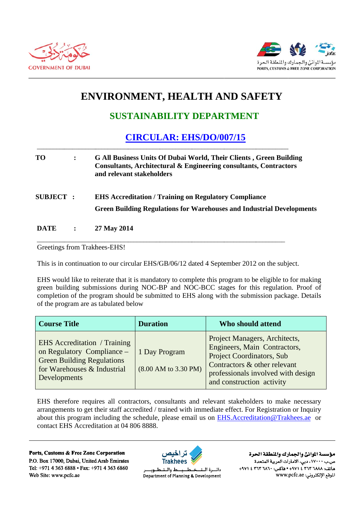



## ENVIRONMENT, HEALTH AND SAFETY

## **SUSTAINABILITY DEPARTMENT**

## **CIRCULAR: EHS/DO/007/15**

| TО               | $\ddot{\cdot}$ | <b>G All Business Units Of Dubai World, Their Clients, Green Building</b><br>Consultants, Architectural & Engineering consultants, Contractors<br>and relevant stakeholders |
|------------------|----------------|-----------------------------------------------------------------------------------------------------------------------------------------------------------------------------|
| <b>SUBJECT :</b> |                | <b>EHS Accreditation / Training on Regulatory Compliance</b><br><b>Green Building Regulations for Warehouses and Industrial Developments</b>                                |
| <b>DATE</b>      |                | 27 May 2014                                                                                                                                                                 |

Greetings from Trakhees-EHS!

This is in continuation to our circular EHS/GB/06/12 dated 4 September 2012 on the subject.

EHS would like to reiterate that it is mandatory to complete this program to be eligible to for making green building submissions during NOC-BP and NOC-BCC stages for this regulation. Proof of completion of the program should be submitted to EHS along with the submission package. Details of the program are as tabulated below

| <b>Course Title</b>                                                                                                                                          | <b>Duration</b>                                          | Who should attend                                                                                                                                                                                    |
|--------------------------------------------------------------------------------------------------------------------------------------------------------------|----------------------------------------------------------|------------------------------------------------------------------------------------------------------------------------------------------------------------------------------------------------------|
| <b>EHS</b> Accreditation / Training<br>on Regulatory Compliance -<br><b>Green Building Regulations</b><br>for Warehouses & Industrial<br><b>Developments</b> | 1 Day Program<br>$(8.00 \text{ AM to } 3.30 \text{ PM})$ | Project Managers, Architects,<br>Engineers, Main Contractors,<br><b>Project Coordinators, Sub</b><br>Contractors & other relevant<br>professionals involved with design<br>and construction activity |

EHS therefore requires all contractors, consultants and relevant stakeholders to make necessary arrangements to get their staff accredited / trained with immediate effect. For Registration or Inquiry about this program including the schedule, please email us on EHS.Accreditation@Trakhees.ae or contact EHS Accreditation at 04 806 8888.

Ports, Customs & Free Zone Corporation P.O. Box 17000, Dubai, United Arab Emirates Tel: +971 4 363 6888 • Fax: +971 4 363 6860 Web Site: www.pcfc.ae



ط والــتـ دائسرة اللت طــوب Department of Planning & Development

مؤسسة الموانئ والجمارك والنطقة الحرة ص.ب ١٧٠٠٠، دبي، الأمارات العربية المتحدة ماتف: ٢٦٨٨ ٢٦٣ ٤ ٢٧١٤ • هاكس: ٢٦٢ ٢٦٢ ٤ ٢٦٧١ الموقع الإلكتروني: www.pcfc.ae